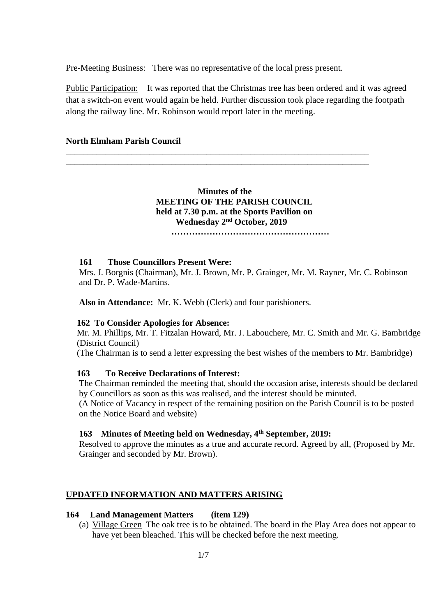Pre-Meeting Business: There was no representative of the local press present.

Public Participation: It was reported that the Christmas tree has been ordered and it was agreed that a switch-on event would again be held. Further discussion took place regarding the footpath along the railway line. Mr. Robinson would report later in the meeting.

### **North Elmham Parish Council**

 **Minutes of the MEETING OF THE PARISH COUNCIL held at 7.30 p.m. at the Sports Pavilion on Wednesday 2 nd October, 2019**

\_\_\_\_\_\_\_\_\_\_\_\_\_\_\_\_\_\_\_\_\_\_\_\_\_\_\_\_\_\_\_\_\_\_\_\_\_\_\_\_\_\_\_\_\_\_\_\_\_\_\_\_\_\_\_\_\_\_\_\_\_\_\_\_\_\_\_\_\_ \_\_\_\_\_\_\_\_\_\_\_\_\_\_\_\_\_\_\_\_\_\_\_\_\_\_\_\_\_\_\_\_\_\_\_\_\_\_\_\_\_\_\_\_\_\_\_\_\_\_\_\_\_\_\_\_\_\_\_\_\_\_\_\_\_\_\_\_\_

 **………………………………………………**

#### **161 Those Councillors Present Were:**

Mrs. J. Borgnis (Chairman), Mr. J. Brown, Mr. P. Grainger, Mr. M. Rayner, Mr. C. Robinson and Dr. P. Wade-Martins.

**Also in Attendance:** Mr. K. Webb (Clerk) and four parishioners.

#### **162 To Consider Apologies for Absence:**

 Mr. M. Phillips, Mr. T. Fitzalan Howard, Mr. J. Labouchere, Mr. C. Smith and Mr. G. Bambridge (District Council)

(The Chairman is to send a letter expressing the best wishes of the members to Mr. Bambridge)

#### **163 To Receive Declarations of Interest:**

The Chairman reminded the meeting that, should the occasion arise, interests should be declared by Councillors as soon as this was realised, and the interest should be minuted.

(A Notice of Vacancy in respect of the remaining position on the Parish Council is to be posted on the Notice Board and website)

### **163 Minutes of Meeting held on Wednesday, 4 th September, 2019:**

Resolved to approve the minutes as a true and accurate record. Agreed by all, (Proposed by Mr. Grainger and seconded by Mr. Brown).

#### **UPDATED INFORMATION AND MATTERS ARISING**

#### **164 Land Management Matters (item 129)**

(a) Village Green The oak tree is to be obtained. The board in the Play Area does not appear to have yet been bleached. This will be checked before the next meeting.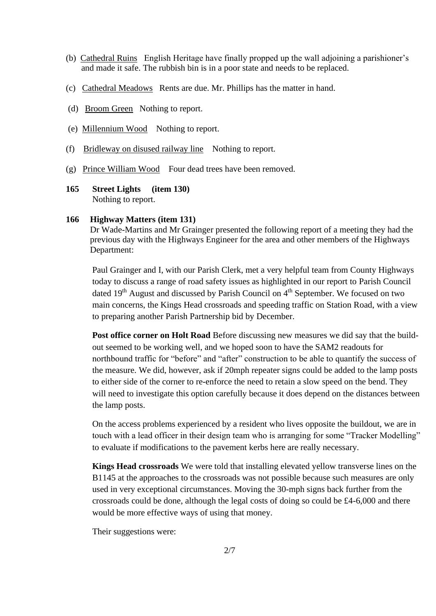- (b) Cathedral Ruins English Heritage have finally propped up the wall adjoining a parishioner's and made it safe. The rubbish bin is in a poor state and needs to be replaced.
- (c) Cathedral Meadows Rents are due. Mr. Phillips has the matter in hand.
- (d) Broom Green Nothing to report.
- (e) Millennium Wood Nothing to report.
- (f) Bridleway on disused railway line Nothing to report.
- (g) Prince William Wood Four dead trees have been removed.
- **165 Street Lights (item 130)** Nothing to report.

#### **166 Highway Matters (item 131)**

Dr Wade-Martins and Mr Grainger presented the following report of a meeting they had the previous day with the Highways Engineer for the area and other members of the Highways Department:

Paul Grainger and I, with our Parish Clerk, met a very helpful team from County Highways today to discuss a range of road safety issues as highlighted in our report to Parish Council dated  $19<sup>th</sup>$  August and discussed by Parish Council on  $4<sup>th</sup>$  September. We focused on two main concerns, the Kings Head crossroads and speeding traffic on Station Road, with a view to preparing another Parish Partnership bid by December.

**Post office corner on Holt Road** Before discussing new measures we did say that the buildout seemed to be working well, and we hoped soon to have the SAM2 readouts for northbound traffic for "before" and "after" construction to be able to quantify the success of the measure. We did, however, ask if 20mph repeater signs could be added to the lamp posts to either side of the corner to re-enforce the need to retain a slow speed on the bend. They will need to investigate this option carefully because it does depend on the distances between the lamp posts.

On the access problems experienced by a resident who lives opposite the buildout, we are in touch with a lead officer in their design team who is arranging for some "Tracker Modelling" to evaluate if modifications to the pavement kerbs here are really necessary.

**Kings Head crossroads** We were told that installing elevated yellow transverse lines on the B<sub>1145</sub> at the approaches to the crossroads was not possible because such measures are only used in very exceptional circumstances. Moving the 30-mph signs back further from the crossroads could be done, although the legal costs of doing so could be £4-6,000 and there would be more effective ways of using that money.

Their suggestions were: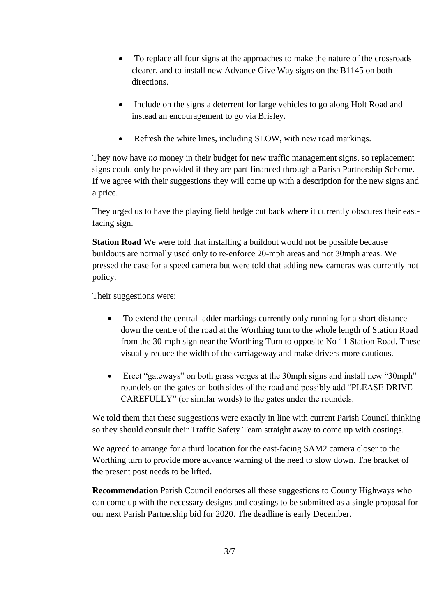- To replace all four signs at the approaches to make the nature of the crossroads clearer, and to install new Advance Give Way signs on the B1145 on both directions.
- Include on the signs a deterrent for large vehicles to go along Holt Road and instead an encouragement to go via Brisley.
- Refresh the white lines, including SLOW, with new road markings.

They now have *no* money in their budget for new traffic management signs, so replacement signs could only be provided if they are part-financed through a Parish Partnership Scheme. If we agree with their suggestions they will come up with a description for the new signs and a price.

They urged us to have the playing field hedge cut back where it currently obscures their eastfacing sign.

**Station Road** We were told that installing a buildout would not be possible because buildouts are normally used only to re-enforce 20-mph areas and not 30mph areas. We pressed the case for a speed camera but were told that adding new cameras was currently not policy.

Their suggestions were:

- To extend the central ladder markings currently only running for a short distance down the centre of the road at the Worthing turn to the whole length of Station Road from the 30-mph sign near the Worthing Turn to opposite No 11 Station Road. These visually reduce the width of the carriageway and make drivers more cautious.
- Erect "gateways" on both grass verges at the 30mph signs and install new "30mph" roundels on the gates on both sides of the road and possibly add "PLEASE DRIVE CAREFULLY" (or similar words) to the gates under the roundels.

We told them that these suggestions were exactly in line with current Parish Council thinking so they should consult their Traffic Safety Team straight away to come up with costings.

We agreed to arrange for a third location for the east-facing SAM2 camera closer to the Worthing turn to provide more advance warning of the need to slow down. The bracket of the present post needs to be lifted.

**Recommendation** Parish Council endorses all these suggestions to County Highways who can come up with the necessary designs and costings to be submitted as a single proposal for our next Parish Partnership bid for 2020. The deadline is early December.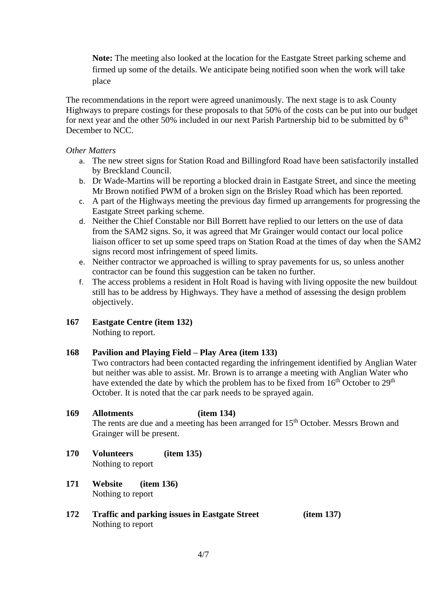**Note:** The meeting also looked at the location for the Eastgate Street parking scheme and firmed up some of the details. We anticipate being notified soon when the work will take place

The recommendations in the report were agreed unanimously. The next stage is to ask County Highways to prepare costings for these proposals to that 50% of the costs can be put into our budget for next year and the other 50% included in our next Parish Partnership bid to be submitted by  $6<sup>th</sup>$ December to NCC.

### *Other Matters*

- a. The new street signs for Station Road and Billingford Road have been satisfactorily installed by Breckland Council.
- b. Dr Wade-Martins will be reporting a blocked drain in Eastgate Street, and since the meeting Mr Brown notified PWM of a broken sign on the Brisley Road which has been reported.
- c. A part of the Highways meeting the previous day firmed up arrangements for progressing the Eastgate Street parking scheme.
- d. Neither the Chief Constable nor Bill Borrett have replied to our letters on the use of data from the SAM2 signs. So, it was agreed that Mr Grainger would contact our local police liaison officer to set up some speed traps on Station Road at the times of day when the SAM2 signs record most infringement of speed limits.
- e. Neither contractor we approached is willing to spray pavements for us, so unless another contractor can be found this suggestion can be taken no further.
- f. The access problems a resident in Holt Road is having with living opposite the new buildout still has to be address by Highways. They have a method of assessing the design problem objectively.
- **167 Eastgate Centre (item 132)** Nothing to report.

### **168 Pavilion and Playing Field – Play Area (item 133)**

Two contractors had been contacted regarding the infringement identified by Anglian Water but neither was able to assist. Mr. Brown is to arrange a meeting with Anglian Water who have extended the date by which the problem has to be fixed from 16<sup>th</sup> October to 29<sup>th</sup> October. It is noted that the car park needs to be sprayed again.

- **169 Allotments (item 134)** The rents are due and a meeting has been arranged for  $15<sup>th</sup>$  October. Messrs Brown and Grainger will be present.
- **170 Volunteers (item 135)** Nothing to report
- **171 Website (item 136)** Nothing to report
- **172 Traffic and parking issues in Eastgate Street (item 137)** Nothing to report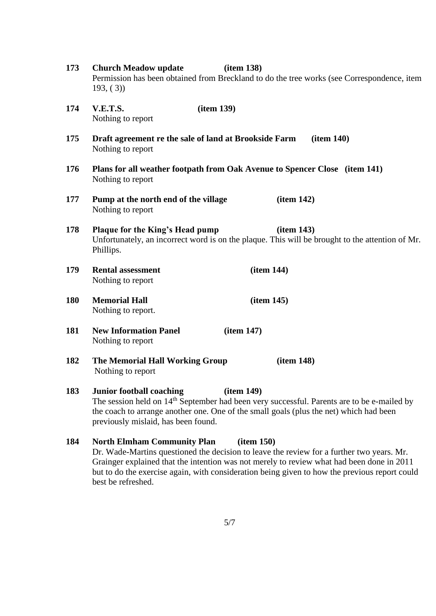| 173 | <b>Church Meadow update</b><br>(item 138)<br>Permission has been obtained from Breckland to do the tree works (see Correspondence, item<br>193, (3)                                                                                                                                     |  |  |
|-----|-----------------------------------------------------------------------------------------------------------------------------------------------------------------------------------------------------------------------------------------------------------------------------------------|--|--|
| 174 | <b>V.E.T.S.</b><br>(item 139)<br>Nothing to report                                                                                                                                                                                                                                      |  |  |
| 175 | Draft agreement re the sale of land at Brookside Farm<br>item 140)<br>Nothing to report                                                                                                                                                                                                 |  |  |
| 176 | Plans for all weather footpath from Oak Avenue to Spencer Close (item 141)<br>Nothing to report                                                                                                                                                                                         |  |  |
| 177 | item 142)<br>Pump at the north end of the village<br>Nothing to report                                                                                                                                                                                                                  |  |  |
| 178 | Plaque for the King's Head pump<br>item 143)<br>Unfortunately, an incorrect word is on the plaque. This will be brought to the attention of Mr.<br>Phillips.                                                                                                                            |  |  |
| 179 | (item 144)<br><b>Rental assessment</b><br>Nothing to report                                                                                                                                                                                                                             |  |  |
| 180 | <b>Memorial Hall</b><br>item 145)<br>Nothing to report.                                                                                                                                                                                                                                 |  |  |
| 181 | <b>New Information Panel</b><br>item 147)<br>Nothing to report                                                                                                                                                                                                                          |  |  |
| 182 | The Memorial Hall Working Group<br>item 148)<br>Nothing to report                                                                                                                                                                                                                       |  |  |
| 183 | <b>Junior football coaching</b><br>item 149)<br>The session held on 14 <sup>th</sup> September had been very successful. Parents are to be e-mailed by<br>the coach to arrange another one. One of the small goals (plus the net) which had been<br>previously mislaid, has been found. |  |  |
| 184 | <b>North Elmham Community Plan</b><br>item 150)<br>Dr. Wade-Martins questioned the decision to leave the review for a further two years. Mr.<br>Grainger explained that the intention was not merely to review what had been done in 2011                                               |  |  |

Grainger explained that the intention was not merely to review what had been done in 2011 but to do the exercise again, with consideration being given to how the previous report could best be refreshed.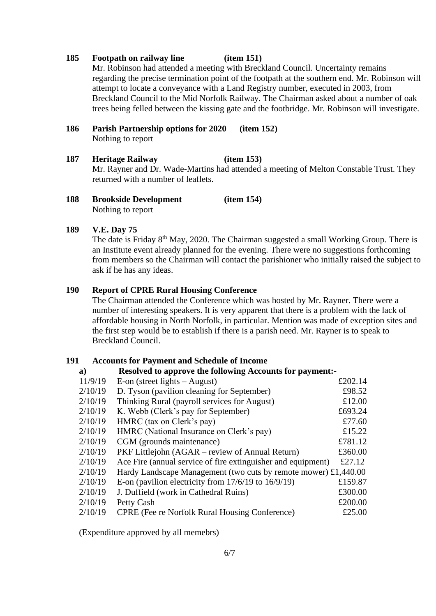### **185 Footpath on railway line (item 151)**

Mr. Robinson had attended a meeting with Breckland Council. Uncertainty remains regarding the precise termination point of the footpath at the southern end. Mr. Robinson will attempt to locate a conveyance with a Land Registry number, executed in 2003, from Breckland Council to the Mid Norfolk Railway. The Chairman asked about a number of oak trees being felled between the kissing gate and the footbridge. Mr. Robinson will investigate.

- **186 Parish Partnership options for 2020 (item 152)** Nothing to report
- **187 Heritage Railway (item 153)** Mr. Rayner and Dr. Wade-Martins had attended a meeting of Melton Constable Trust. They returned with a number of leaflets.
- **188 Brookside Development (item 154)** Nothing to report

### **189 V.E. Day 75**

The date is Friday 8th May, 2020. The Chairman suggested a small Working Group. There is an Institute event already planned for the evening. There were no suggestions forthcoming from members so the Chairman will contact the parishioner who initially raised the subject to ask if he has any ideas.

### **190 Report of CPRE Rural Housing Conference**

The Chairman attended the Conference which was hosted by Mr. Rayner. There were a number of interesting speakers. It is very apparent that there is a problem with the lack of affordable housing in North Norfolk, in particular. Mention was made of exception sites and the first step would be to establish if there is a parish need. Mr. Rayner is to speak to Breckland Council.

### **191 Accounts for Payment and Schedule of Income**

### **a) Resolved to approve the following Accounts for payment:-**

| 11/9/19 | E-on (street lights $-$ August)                                 | £202.14 |
|---------|-----------------------------------------------------------------|---------|
| 2/10/19 | D. Tyson (pavilion cleaning for September)                      | £98.52  |
| 2/10/19 | Thinking Rural (payroll services for August)                    | £12.00  |
| 2/10/19 | K. Webb (Clerk's pay for September)                             | £693.24 |
| 2/10/19 | HMRC (tax on Clerk's pay)                                       | £77.60  |
| 2/10/19 | HMRC (National Insurance on Clerk's pay)                        | £15.22  |
| 2/10/19 | CGM (grounds maintenance)                                       | £781.12 |
| 2/10/19 | PKF Littlejohn (AGAR – review of Annual Return)                 | £360.00 |
| 2/10/19 | Ace Fire (annual service of fire extinguisher and equipment)    | £27.12  |
| 2/10/19 | Hardy Landscape Management (two cuts by remote mower) £1,440.00 |         |
| 2/10/19 | E-on (pavilion electricity from $17/6/19$ to $16/9/19$ )        | £159.87 |
| 2/10/19 | J. Duffield (work in Cathedral Ruins)                           | £300.00 |
| 2/10/19 | Petty Cash                                                      | £200.00 |
| 2/10/19 | <b>CPRE</b> (Fee re Norfolk Rural Housing Conference)           | £25.00  |
|         |                                                                 |         |

(Expenditure approved by all memebrs)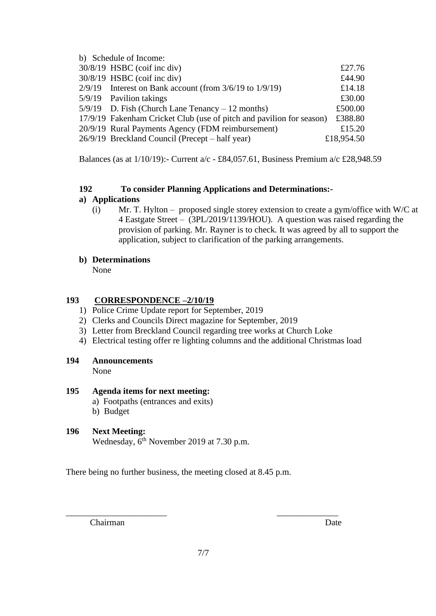| b) Schedule of Income:                                               |            |
|----------------------------------------------------------------------|------------|
| $30/8/19$ HSBC (coif inc div)                                        | £27.76     |
| $30/8/19$ HSBC (coif inc div)                                        | £44.90     |
| $2/9/19$ Interest on Bank account (from $3/6/19$ to $1/9/19$ )       | £14.18     |
| 5/9/19 Pavilion takings                                              | £30.00     |
| $5/9/19$ D. Fish (Church Lane Tenancy – 12 months)                   | £500.00    |
| 17/9/19 Fakenham Cricket Club (use of pitch and pavilion for season) | £388.80    |
| 20/9/19 Rural Payments Agency (FDM reimbursement)                    | £15.20     |
| 26/9/19 Breckland Council (Precept – half year)                      | £18,954.50 |

Balances (as at 1/10/19):- Current a/c - £84,057.61, Business Premium a/c £28,948.59

## **192 To consider Planning Applications and Determinations:-**

## **a) Applications**

(i) Mr. T. Hylton – proposed single storey extension to create a gym/office with W/C at 4 Eastgate Street –(3PL/2019/1139/HOU). A question was raised regarding the provision of parking. Mr. Rayner is to check. It was agreed by all to support the application, subject to clarification of the parking arrangements.

## **b) Determinations**

None

## **193 CORRESPONDENCE –2/10/19**

- 1) Police Crime Update report for September, 2019
- 2) Clerks and Councils Direct magazine for September, 2019
- 3) Letter from Breckland Council regarding tree works at Church Loke
- 4) Electrical testing offer re lighting columns and the additional Christmas load
- **194 Announcements**

None

## **195 Agenda items for next meeting:**

- a) Footpaths (entrances and exits)
- b) Budget

# **196 Next Meeting:**

Wednesday,  $6^{th}$  November 2019 at 7.30 p.m.

There being no further business, the meeting closed at 8.45 p.m.

Chairman Date

\_\_\_\_\_\_\_\_\_\_\_\_\_\_\_\_\_\_\_\_\_\_\_ \_\_\_\_\_\_\_\_\_\_\_\_\_\_